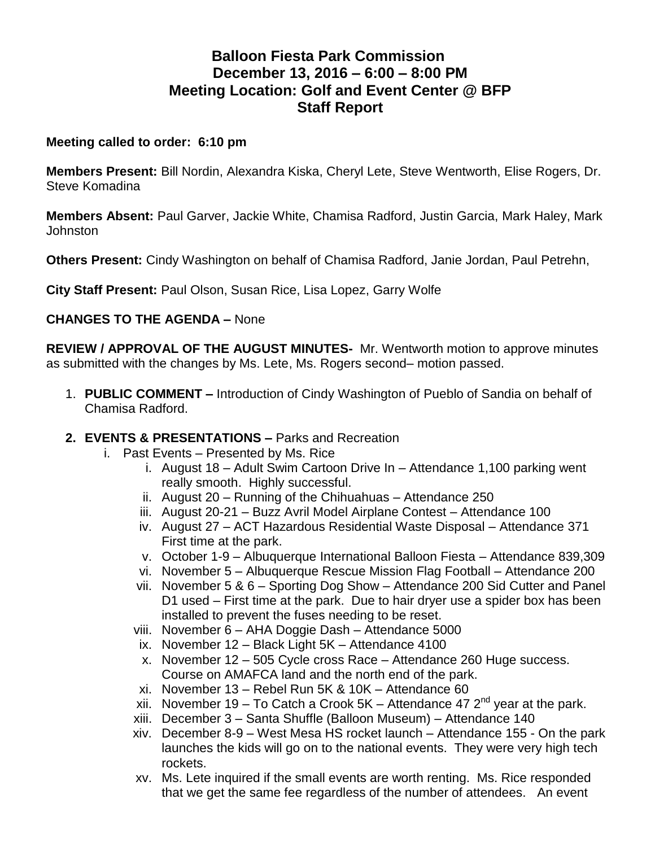# **Balloon Fiesta Park Commission December 13, 2016 – 6:00 – 8:00 PM Meeting Location: Golf and Event Center @ BFP Staff Report**

#### **Meeting called to order: 6:10 pm**

**Members Present:** Bill Nordin, Alexandra Kiska, Cheryl Lete, Steve Wentworth, Elise Rogers, Dr. Steve Komadina

**Members Absent:** Paul Garver, Jackie White, Chamisa Radford, Justin Garcia, Mark Haley, Mark **Johnston** 

**Others Present:** Cindy Washington on behalf of Chamisa Radford, Janie Jordan, Paul Petrehn,

**City Staff Present:** Paul Olson, Susan Rice, Lisa Lopez, Garry Wolfe

# **CHANGES TO THE AGENDA –** None

**REVIEW / APPROVAL OF THE AUGUST MINUTES-** Mr. Wentworth motion to approve minutes as submitted with the changes by Ms. Lete, Ms. Rogers second– motion passed.

1. **PUBLIC COMMENT –** Introduction of Cindy Washington of Pueblo of Sandia on behalf of Chamisa Radford.

# **2. EVENTS & PRESENTATIONS –** Parks and Recreation

- i. Past Events Presented by Ms. Rice
	- i. August 18 Adult Swim Cartoon Drive In Attendance 1,100 parking went really smooth. Highly successful.
	- ii. August 20 Running of the Chihuahuas Attendance 250
	- iii. August 20-21 Buzz Avril Model Airplane Contest Attendance 100
	- iv. August 27 ACT Hazardous Residential Waste Disposal Attendance 371 First time at the park.
	- v. October 1-9 Albuquerque International Balloon Fiesta Attendance 839,309
	- vi. November 5 Albuquerque Rescue Mission Flag Football Attendance 200
	- vii. November 5 & 6 Sporting Dog Show Attendance 200 Sid Cutter and Panel D1 used – First time at the park. Due to hair dryer use a spider box has been installed to prevent the fuses needing to be reset.
	- viii. November 6 AHA Doggie Dash Attendance 5000
	- ix. November 12 Black Light 5K Attendance 4100
	- x. November 12 505 Cycle cross Race Attendance 260 Huge success. Course on AMAFCA land and the north end of the park.
	- xi. November 13 Rebel Run 5K & 10K Attendance 60
	- xii. November 19 To Catch a Crook 5K Attendance 47  $2<sup>nd</sup>$  year at the park.
	- xiii. December 3 Santa Shuffle (Balloon Museum) Attendance 140
	- xiv. December 8-9 West Mesa HS rocket launch Attendance 155 On the park launches the kids will go on to the national events. They were very high tech rockets.
	- xv. Ms. Lete inquired if the small events are worth renting. Ms. Rice responded that we get the same fee regardless of the number of attendees. An event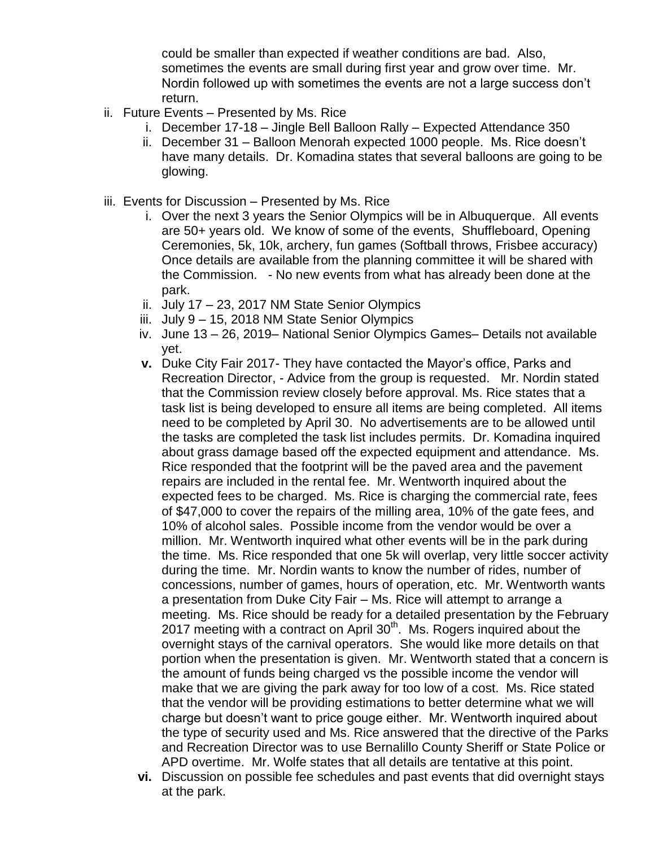could be smaller than expected if weather conditions are bad. Also, sometimes the events are small during first year and grow over time. Mr. Nordin followed up with sometimes the events are not a large success don't return.

- ii. Future Events Presented by Ms. Rice
	- i. December 17-18 Jingle Bell Balloon Rally Expected Attendance 350
	- ii. December 31 Balloon Menorah expected 1000 people. Ms. Rice doesn't have many details. Dr. Komadina states that several balloons are going to be glowing.
- iii. Events for Discussion Presented by Ms. Rice
	- i. Over the next 3 years the Senior Olympics will be in Albuquerque. All events are 50+ years old. We know of some of the events, Shuffleboard, Opening Ceremonies, 5k, 10k, archery, fun games (Softball throws, Frisbee accuracy) Once details are available from the planning committee it will be shared with the Commission. - No new events from what has already been done at the park.
	- ii. July 17 23, 2017 NM State Senior Olympics
	- iii. July 9 15, 2018 NM State Senior Olympics
	- iv. June 13 26, 2019– National Senior Olympics Games– Details not available yet.
	- **v.** Duke City Fair 2017- They have contacted the Mayor's office, Parks and Recreation Director, - Advice from the group is requested. Mr. Nordin stated that the Commission review closely before approval. Ms. Rice states that a task list is being developed to ensure all items are being completed. All items need to be completed by April 30. No advertisements are to be allowed until the tasks are completed the task list includes permits. Dr. Komadina inquired about grass damage based off the expected equipment and attendance. Ms. Rice responded that the footprint will be the paved area and the pavement repairs are included in the rental fee. Mr. Wentworth inquired about the expected fees to be charged. Ms. Rice is charging the commercial rate, fees of \$47,000 to cover the repairs of the milling area, 10% of the gate fees, and 10% of alcohol sales. Possible income from the vendor would be over a million. Mr. Wentworth inquired what other events will be in the park during the time. Ms. Rice responded that one 5k will overlap, very little soccer activity during the time. Mr. Nordin wants to know the number of rides, number of concessions, number of games, hours of operation, etc. Mr. Wentworth wants a presentation from Duke City Fair – Ms. Rice will attempt to arrange a meeting. Ms. Rice should be ready for a detailed presentation by the February 2017 meeting with a contract on April  $30<sup>th</sup>$ . Ms. Rogers inquired about the overnight stays of the carnival operators. She would like more details on that portion when the presentation is given. Mr. Wentworth stated that a concern is the amount of funds being charged vs the possible income the vendor will make that we are giving the park away for too low of a cost. Ms. Rice stated that the vendor will be providing estimations to better determine what we will charge but doesn't want to price gouge either. Mr. Wentworth inquired about the type of security used and Ms. Rice answered that the directive of the Parks and Recreation Director was to use Bernalillo County Sheriff or State Police or APD overtime. Mr. Wolfe states that all details are tentative at this point.
	- **vi.** Discussion on possible fee schedules and past events that did overnight stays at the park.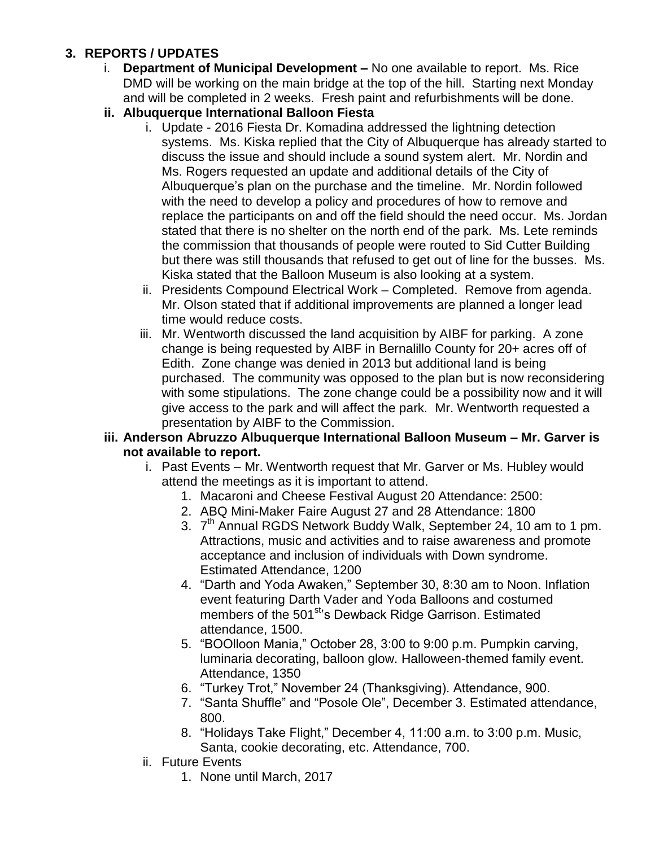# **3. REPORTS / UPDATES**

- i. **Department of Municipal Development –** No one available to report. Ms. Rice DMD will be working on the main bridge at the top of the hill. Starting next Monday and will be completed in 2 weeks. Fresh paint and refurbishments will be done.
- **ii. Albuquerque International Balloon Fiesta**
	- i. Update 2016 Fiesta Dr. Komadina addressed the lightning detection systems. Ms. Kiska replied that the City of Albuquerque has already started to discuss the issue and should include a sound system alert. Mr. Nordin and Ms. Rogers requested an update and additional details of the City of Albuquerque's plan on the purchase and the timeline. Mr. Nordin followed with the need to develop a policy and procedures of how to remove and replace the participants on and off the field should the need occur. Ms. Jordan stated that there is no shelter on the north end of the park. Ms. Lete reminds the commission that thousands of people were routed to Sid Cutter Building but there was still thousands that refused to get out of line for the busses. Ms. Kiska stated that the Balloon Museum is also looking at a system.
	- ii. Presidents Compound Electrical Work Completed. Remove from agenda. Mr. Olson stated that if additional improvements are planned a longer lead time would reduce costs.
	- iii. Mr. Wentworth discussed the land acquisition by AIBF for parking. A zone change is being requested by AIBF in Bernalillo County for 20+ acres off of Edith. Zone change was denied in 2013 but additional land is being purchased. The community was opposed to the plan but is now reconsidering with some stipulations. The zone change could be a possibility now and it will give access to the park and will affect the park. Mr. Wentworth requested a presentation by AIBF to the Commission.

#### **iii. Anderson Abruzzo Albuquerque International Balloon Museum – Mr. Garver is not available to report.**

- i. Past Events Mr. Wentworth request that Mr. Garver or Ms. Hubley would attend the meetings as it is important to attend.
	- 1. Macaroni and Cheese Festival August 20 Attendance: 2500:
	- 2. ABQ Mini-Maker Faire August 27 and 28 Attendance: 1800
	- 3. 7<sup>th</sup> Annual RGDS Network Buddy Walk, September 24, 10 am to 1 pm. Attractions, music and activities and to raise awareness and promote acceptance and inclusion of individuals with Down syndrome. Estimated Attendance, 1200
	- 4. "Darth and Yoda Awaken," September 30, 8:30 am to Noon. Inflation event featuring Darth Vader and Yoda Balloons and costumed members of the 501<sup>st</sup>'s Dewback Ridge Garrison. Estimated attendance, 1500.
	- 5. "BOOlloon Mania," October 28, 3:00 to 9:00 p.m. Pumpkin carving, luminaria decorating, balloon glow. Halloween-themed family event. Attendance, 1350
	- 6. "Turkey Trot," November 24 (Thanksgiving). Attendance, 900.
	- 7. "Santa Shuffle" and "Posole Ole", December 3. Estimated attendance, 800.
	- 8. "Holidays Take Flight," December 4, 11:00 a.m. to 3:00 p.m. Music, Santa, cookie decorating, etc. Attendance, 700.
- ii. Future Events
	- 1. None until March, 2017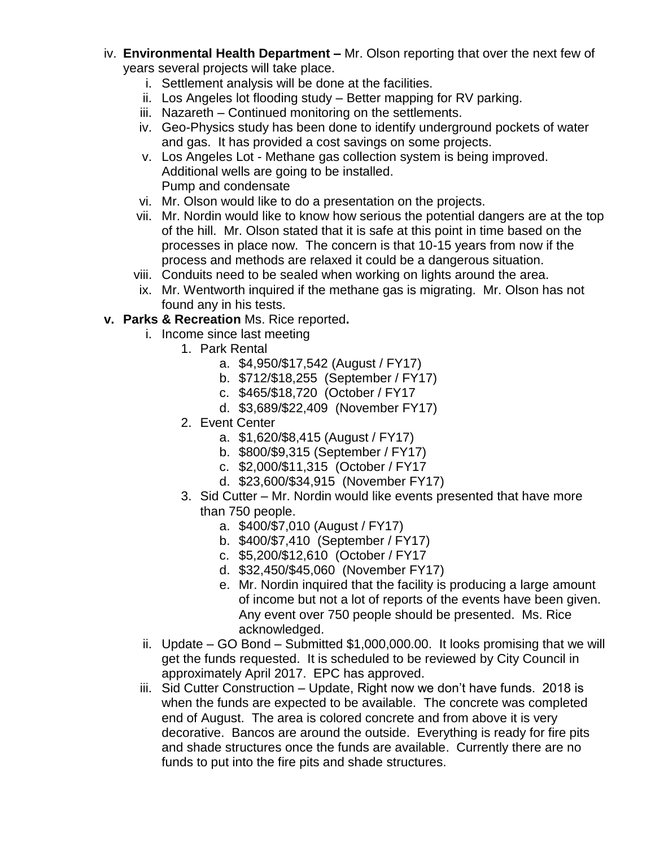- iv. **Environmental Health Department –** Mr. Olson reporting that over the next few of years several projects will take place.
	- i. Settlement analysis will be done at the facilities.
	- ii. Los Angeles lot flooding study Better mapping for RV parking.
	- iii. Nazareth Continued monitoring on the settlements.
	- iv. Geo-Physics study has been done to identify underground pockets of water and gas. It has provided a cost savings on some projects.
	- v. Los Angeles Lot Methane gas collection system is being improved. Additional wells are going to be installed. Pump and condensate
	- vi. Mr. Olson would like to do a presentation on the projects.
	- vii. Mr. Nordin would like to know how serious the potential dangers are at the top of the hill. Mr. Olson stated that it is safe at this point in time based on the processes in place now. The concern is that 10-15 years from now if the process and methods are relaxed it could be a dangerous situation.
	- viii. Conduits need to be sealed when working on lights around the area.
	- ix. Mr. Wentworth inquired if the methane gas is migrating. Mr. Olson has not found any in his tests.
- **v. Parks & Recreation** Ms. Rice reported**.** 
	- i. Income since last meeting
		- 1. Park Rental
			- a. \$4,950/\$17,542 (August / FY17)
			- b. \$712/\$18,255 (September / FY17)
			- c. \$465/\$18,720 (October / FY17
			- d. \$3,689/\$22,409 (November FY17)
		- 2. Event Center
			- a. \$1,620/\$8,415 (August / FY17)
			- b. \$800/\$9,315 (September / FY17)
			- c. \$2,000/\$11,315 (October / FY17
			- d. \$23,600/\$34,915 (November FY17)
		- 3. Sid Cutter Mr. Nordin would like events presented that have more than 750 people.
			- a. \$400/\$7,010 (August / FY17)
			- b. \$400/\$7,410 (September / FY17)
			- c. \$5,200/\$12,610 (October / FY17
			- d. \$32,450/\$45,060 (November FY17)
			- e. Mr. Nordin inquired that the facility is producing a large amount of income but not a lot of reports of the events have been given. Any event over 750 people should be presented. Ms. Rice acknowledged.
	- ii. Update GO Bond Submitted \$1,000,000.00. It looks promising that we will get the funds requested. It is scheduled to be reviewed by City Council in approximately April 2017. EPC has approved.
	- iii. Sid Cutter Construction Update, Right now we don't have funds. 2018 is when the funds are expected to be available. The concrete was completed end of August. The area is colored concrete and from above it is very decorative. Bancos are around the outside. Everything is ready for fire pits and shade structures once the funds are available. Currently there are no funds to put into the fire pits and shade structures.